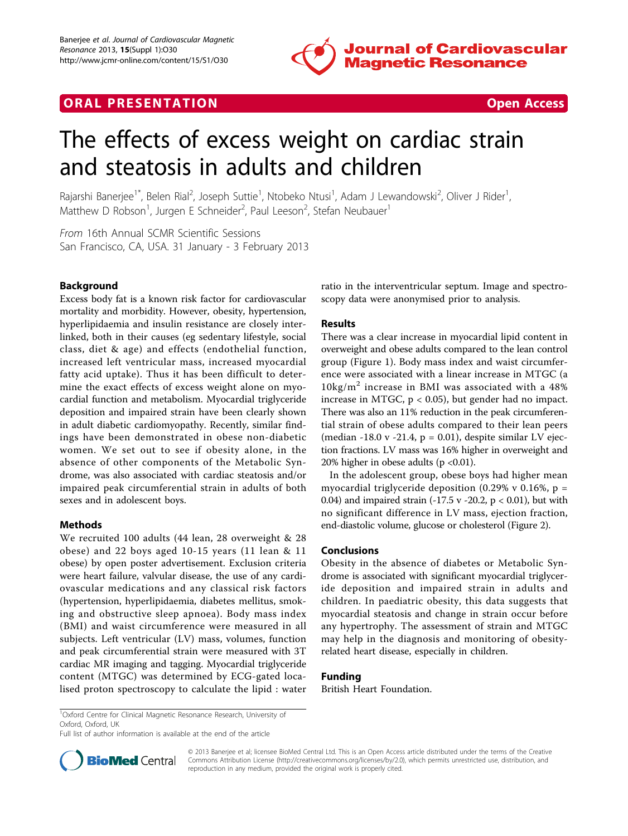

# **ORAL PRESENTATION CONSUMING ACCESS**



# The effects of excess weight on cardiac strain and steatosis in adults and children

Rajarshi Banerjee<sup>1\*</sup>, Belen Rial<sup>2</sup>, Joseph Suttie<sup>1</sup>, Ntobeko Ntusi<sup>1</sup>, Adam J Lewandowski<sup>2</sup>, Oliver J Rider<sup>1</sup> , Matthew D Robson<sup>1</sup>, Jurgen E Schneider<sup>2</sup>, Paul Leeson<sup>2</sup>, Stefan Neubauer<sup>1</sup>

From 16th Annual SCMR Scientific Sessions San Francisco, CA, USA. 31 January - 3 February 2013

## Background

Excess body fat is a known risk factor for cardiovascular mortality and morbidity. However, obesity, hypertension, hyperlipidaemia and insulin resistance are closely interlinked, both in their causes (eg sedentary lifestyle, social class, diet & age) and effects (endothelial function, increased left ventricular mass, increased myocardial fatty acid uptake). Thus it has been difficult to determine the exact effects of excess weight alone on myocardial function and metabolism. Myocardial triglyceride deposition and impaired strain have been clearly shown in adult diabetic cardiomyopathy. Recently, similar findings have been demonstrated in obese non-diabetic women. We set out to see if obesity alone, in the absence of other components of the Metabolic Syndrome, was also associated with cardiac steatosis and/or impaired peak circumferential strain in adults of both sexes and in adolescent boys.

## Methods

We recruited 100 adults (44 lean, 28 overweight & 28 obese) and 22 boys aged 10-15 years (11 lean & 11 obese) by open poster advertisement. Exclusion criteria were heart failure, valvular disease, the use of any cardiovascular medications and any classical risk factors (hypertension, hyperlipidaemia, diabetes mellitus, smoking and obstructive sleep apnoea). Body mass index (BMI) and waist circumference were measured in all subjects. Left ventricular (LV) mass, volumes, function and peak circumferential strain were measured with 3T cardiac MR imaging and tagging. Myocardial triglyceride content (MTGC) was determined by ECG-gated localised proton spectroscopy to calculate the lipid : water

ratio in the interventricular septum. Image and spectroscopy data were anonymised prior to analysis.

#### Results

There was a clear increase in myocardial lipid content in overweight and obese adults compared to the lean control group (Figure [1](#page-1-0)). Body mass index and waist circumference were associated with a linear increase in MTGC (a  $10\text{kg/m}^2$  increase in BMI was associated with a 48% increase in MTGC,  $p < 0.05$ ), but gender had no impact. There was also an 11% reduction in the peak circumferential strain of obese adults compared to their lean peers (median -18.0 v -21.4,  $p = 0.01$ ), despite similar LV ejection fractions. LV mass was 16% higher in overweight and 20% higher in obese adults (p <0.01).

In the adolescent group, obese boys had higher mean myocardial triglyceride deposition  $(0.29\% \text{ v } 0.16\%, \text{ p } =$ 0.04) and impaired strain (-17.5 v -20.2,  $p < 0.01$ ), but with no significant difference in LV mass, ejection fraction, end-diastolic volume, glucose or cholesterol (Figure [2](#page-1-0)).

## Conclusions

Obesity in the absence of diabetes or Metabolic Syndrome is associated with significant myocardial triglyceride deposition and impaired strain in adults and children. In paediatric obesity, this data suggests that myocardial steatosis and change in strain occur before any hypertrophy. The assessment of strain and MTGC may help in the diagnosis and monitoring of obesityrelated heart disease, especially in children.

#### Funding

British Heart Foundation.

Full list of author information is available at the end of the article



© 2013 Banerjee et al; licensee BioMed Central Ltd. This is an Open Access article distributed under the terms of the Creative Commons Attribution License [\(http://creativecommons.org/licenses/by/2.0](http://creativecommons.org/licenses/by/2.0)), which permits unrestricted use, distribution, and reproduction in any medium, provided the original work is properly cited.

<sup>&</sup>lt;sup>1</sup>Oxford Centre for Clinical Magnetic Resonance Research, University of Oxford, Oxford, UK